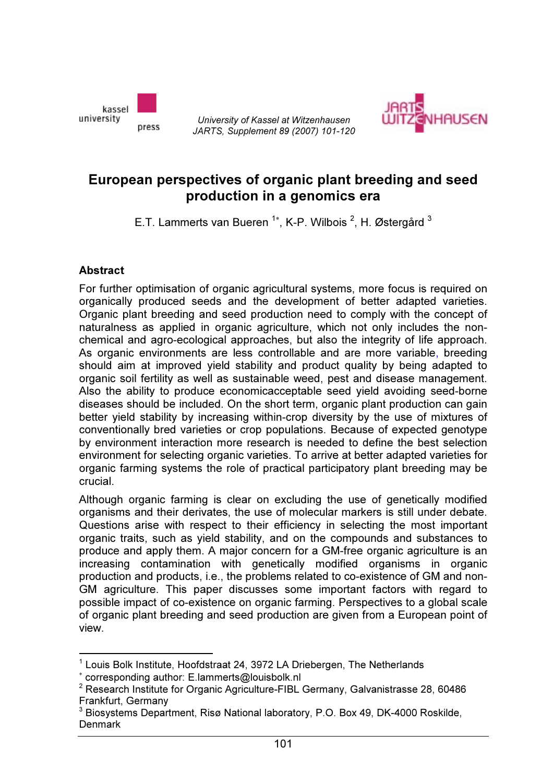

University of Kassel at Witzenhausen JARTS, Supplement 89 (2007) 101-120



# European perspectives of organic plant breeding and seed production in a genomics era

E.T. Lammerts van Bueren  $^{1*}$ , K-P. Wilbois  $^{2}$ , H. Østergård  $^{3}$ 

#### Abstract

For further optimisation of organic agricultural systems, more focus is required on organically produced seeds and the development of better adapted varieties. Organic plant breeding and seed production need to comply with the concept of naturalness as applied in organic agriculture, which not only includes the nonchemical and agro-ecological approaches, but also the integrity of life approach. As organic environments are less controllable and are more variable, breeding should aim at improved yield stability and product quality by being adapted to organic soil fertility as well as sustainable weed, pest and disease management. Also the ability to produce economicacceptable seed yield avoiding seed-borne diseases should be included. On the short term, organic plant production can gain better yield stability by increasing within-crop diversity by the use of mixtures of conventionally bred varieties or crop populations. Because of expected genotype by environment interaction more research is needed to define the best selection environment for selecting organic varieties. To arrive at better adapted varieties for organic farming systems the role of practical participatory plant breeding may be crucial.

Although organic farming is clear on excluding the use of genetically modified organisms and their derivates, the use of molecular markers is still under debate. Questions arise with respect to their efficiency in selecting the most important organic traits, such as yield stability, and on the compounds and substances to produce and apply them. A major concern for a GM-free organic agriculture is an increasing contamination with genetically modified organisms in organic production and products, i.e., the problems related to co-existence of GM and non-GM agriculture. This paper discusses some important factors with regard to possible impact of co-existence on organic farming. Perspectives to a global scale of organic plant breeding and seed production are given from a European point of view.

 $\overline{a}$ 1 Louis Bolk Institute, Hoofdstraat 24, 3972 LA Driebergen, The Netherlands

<sup>∗</sup> corresponding author: E.lammerts@louisbolk.nl

<sup>2</sup> Research Institute for Organic Agriculture-FIBL Germany, Galvanistrasse 28, 60486 Frankfurt, Germany

<sup>3</sup> Biosystems Department, Risø National laboratory, P.O. Box 49, DK-4000 Roskilde, **Denmark**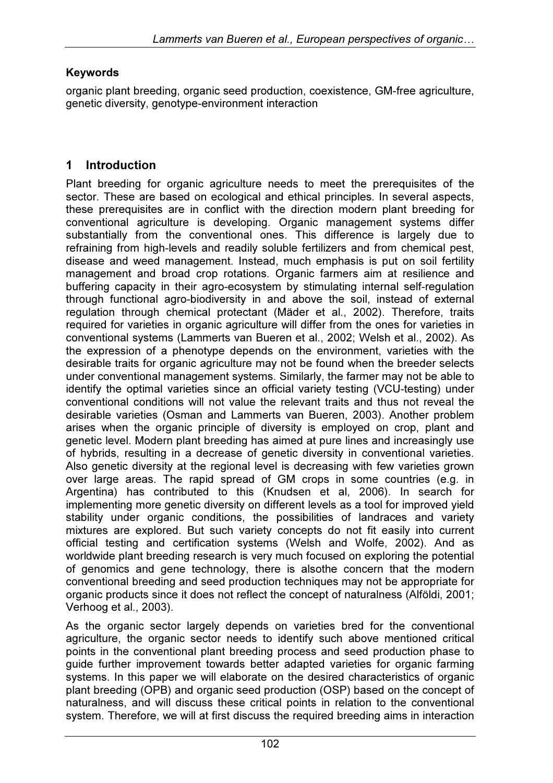### Keywords

organic plant breeding, organic seed production, coexistence, GM-free agriculture, genetic diversity, genotype-environment interaction

## 1 Introduction

Plant breeding for organic agriculture needs to meet the prerequisites of the sector. These are based on ecological and ethical principles. In several aspects, these prerequisites are in conflict with the direction modern plant breeding for conventional agriculture is developing. Organic management systems differ substantially from the conventional ones. This difference is largely due to refraining from high-levels and readily soluble fertilizers and from chemical pest, disease and weed management. Instead, much emphasis is put on soil fertility management and broad crop rotations. Organic farmers aim at resilience and buffering capacity in their agro-ecosystem by stimulating internal self-regulation through functional agro-biodiversity in and above the soil, instead of external regulation through chemical protectant (Mäder et al., 2002). Therefore, traits required for varieties in organic agriculture will differ from the ones for varieties in conventional systems (Lammerts van Bueren et al., 2002; Welsh et al., 2002). As the expression of a phenotype depends on the environment, varieties with the desirable traits for organic agriculture may not be found when the breeder selects under conventional management systems. Similarly, the farmer may not be able to identify the optimal varieties since an official variety testing (VCU-testing) under conventional conditions will not value the relevant traits and thus not reveal the desirable varieties (Osman and Lammerts van Bueren, 2003). Another problem arises when the organic principle of diversity is employed on crop, plant and genetic level. Modern plant breeding has aimed at pure lines and increasingly use of hybrids, resulting in a decrease of genetic diversity in conventional varieties. Also genetic diversity at the regional level is decreasing with few varieties grown over large areas. The rapid spread of GM crops in some countries (e.g. in Argentina) has contributed to this (Knudsen et al, 2006). In search for implementing more genetic diversity on different levels as a tool for improved yield stability under organic conditions, the possibilities of landraces and variety mixtures are explored. But such variety concepts do not fit easily into current official testing and certification systems (Welsh and Wolfe, 2002). And as worldwide plant breeding research is very much focused on exploring the potential of genomics and gene technology, there is alsothe concern that the modern conventional breeding and seed production techniques may not be appropriate for organic products since it does not reflect the concept of naturalness (Alföldi, 2001; Verhoog et al., 2003).

As the organic sector largely depends on varieties bred for the conventional agriculture, the organic sector needs to identify such above mentioned critical points in the conventional plant breeding process and seed production phase to guide further improvement towards better adapted varieties for organic farming systems. In this paper we will elaborate on the desired characteristics of organic plant breeding (OPB) and organic seed production (OSP) based on the concept of naturalness, and will discuss these critical points in relation to the conventional system. Therefore, we will at first discuss the required breeding aims in interaction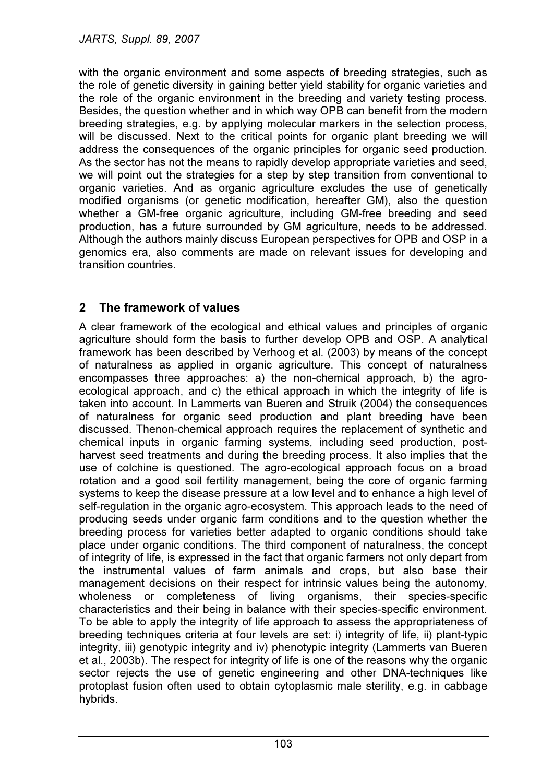with the organic environment and some aspects of breeding strategies, such as the role of genetic diversity in gaining better yield stability for organic varieties and the role of the organic environment in the breeding and variety testing process. Besides, the question whether and in which way OPB can benefit from the modern breeding strategies, e.g. by applying molecular markers in the selection process, will be discussed. Next to the critical points for organic plant breeding we will address the consequences of the organic principles for organic seed production. As the sector has not the means to rapidly develop appropriate varieties and seed, we will point out the strategies for a step by step transition from conventional to organic varieties. And as organic agriculture excludes the use of genetically modified organisms (or genetic modification, hereafter GM), also the question whether a GM-free organic agriculture, including GM-free breeding and seed production, has a future surrounded by GM agriculture, needs to be addressed. Although the authors mainly discuss European perspectives for OPB and OSP in a genomics era, also comments are made on relevant issues for developing and transition countries.

### 2 The framework of values

A clear framework of the ecological and ethical values and principles of organic agriculture should form the basis to further develop OPB and OSP. A analytical framework has been described by Verhoog et al. (2003) by means of the concept of naturalness as applied in organic agriculture. This concept of naturalness encompasses three approaches: a) the non-chemical approach, b) the agroecological approach, and c) the ethical approach in which the integrity of life is taken into account. In Lammerts van Bueren and Struik (2004) the consequences of naturalness for organic seed production and plant breeding have been discussed. Thenon-chemical approach requires the replacement of synthetic and chemical inputs in organic farming systems, including seed production, postharvest seed treatments and during the breeding process. It also implies that the use of colchine is questioned. The agro-ecological approach focus on a broad rotation and a good soil fertility management, being the core of organic farming systems to keep the disease pressure at a low level and to enhance a high level of self-regulation in the organic agro-ecosystem. This approach leads to the need of producing seeds under organic farm conditions and to the question whether the breeding process for varieties better adapted to organic conditions should take place under organic conditions. The third component of naturalness, the concept of integrity of life, is expressed in the fact that organic farmers not only depart from the instrumental values of farm animals and crops, but also base their management decisions on their respect for intrinsic values being the autonomy, wholeness or completeness of living organisms, their species-specific characteristics and their being in balance with their species-specific environment. To be able to apply the integrity of life approach to assess the appropriateness of breeding techniques criteria at four levels are set: i) integrity of life, ii) plant-typic integrity, iii) genotypic integrity and iv) phenotypic integrity (Lammerts van Bueren et al., 2003b). The respect for integrity of life is one of the reasons why the organic sector rejects the use of genetic engineering and other DNA-techniques like protoplast fusion often used to obtain cytoplasmic male sterility, e.g. in cabbage hybrids.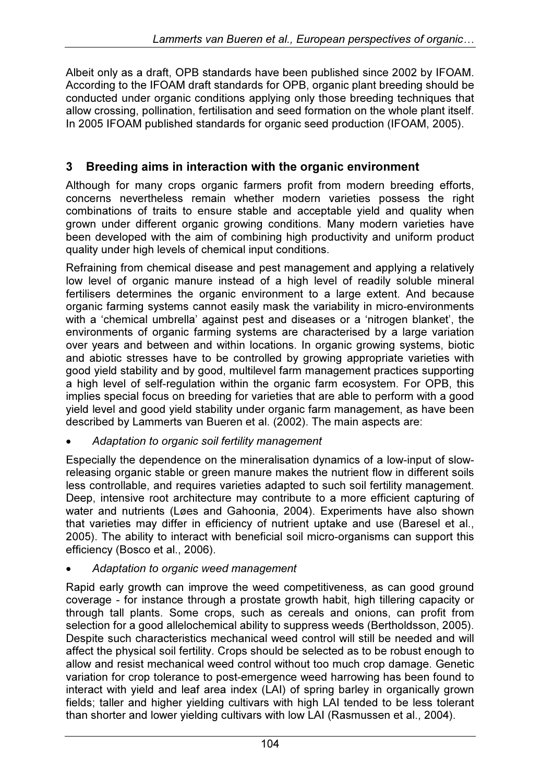Albeit only as a draft, OPB standards have been published since 2002 by IFOAM. According to the IFOAM draft standards for OPB, organic plant breeding should be conducted under organic conditions applying only those breeding techniques that allow crossing, pollination, fertilisation and seed formation on the whole plant itself. In 2005 IFOAM published standards for organic seed production (IFOAM, 2005).

## 3 Breeding aims in interaction with the organic environment

Although for many crops organic farmers profit from modern breeding efforts, concerns nevertheless remain whether modern varieties possess the right combinations of traits to ensure stable and acceptable yield and quality when grown under different organic growing conditions. Many modern varieties have been developed with the aim of combining high productivity and uniform product quality under high levels of chemical input conditions.

Refraining from chemical disease and pest management and applying a relatively low level of organic manure instead of a high level of readily soluble mineral fertilisers determines the organic environment to a large extent. And because organic farming systems cannot easily mask the variability in micro-environments with a 'chemical umbrella' against pest and diseases or a 'nitrogen blanket', the environments of organic farming systems are characterised by a large variation over years and between and within locations. In organic growing systems, biotic and abiotic stresses have to be controlled by growing appropriate varieties with good yield stability and by good, multilevel farm management practices supporting a high level of self-regulation within the organic farm ecosystem. For OPB, this implies special focus on breeding for varieties that are able to perform with a good yield level and good yield stability under organic farm management, as have been described by Lammerts van Bueren et al. (2002). The main aspects are:

#### Adaptation to organic soil fertility management

Especially the dependence on the mineralisation dynamics of a low-input of slowreleasing organic stable or green manure makes the nutrient flow in different soils less controllable, and requires varieties adapted to such soil fertility management. Deep, intensive root architecture may contribute to a more efficient capturing of water and nutrients (Løes and Gahoonia, 2004). Experiments have also shown that varieties may differ in efficiency of nutrient uptake and use (Baresel et al., 2005). The ability to interact with beneficial soil micro-organisms can support this efficiency (Bosco et al., 2006).

#### • Adaptation to organic weed management

Rapid early growth can improve the weed competitiveness, as can good ground coverage - for instance through a prostate growth habit, high tillering capacity or through tall plants. Some crops, such as cereals and onions, can profit from selection for a good allelochemical ability to suppress weeds (Bertholdsson, 2005). Despite such characteristics mechanical weed control will still be needed and will affect the physical soil fertility. Crops should be selected as to be robust enough to allow and resist mechanical weed control without too much crop damage. Genetic variation for crop tolerance to post-emergence weed harrowing has been found to interact with yield and leaf area index (LAI) of spring barley in organically grown fields; taller and higher yielding cultivars with high LAI tended to be less tolerant than shorter and lower yielding cultivars with low LAI (Rasmussen et al., 2004).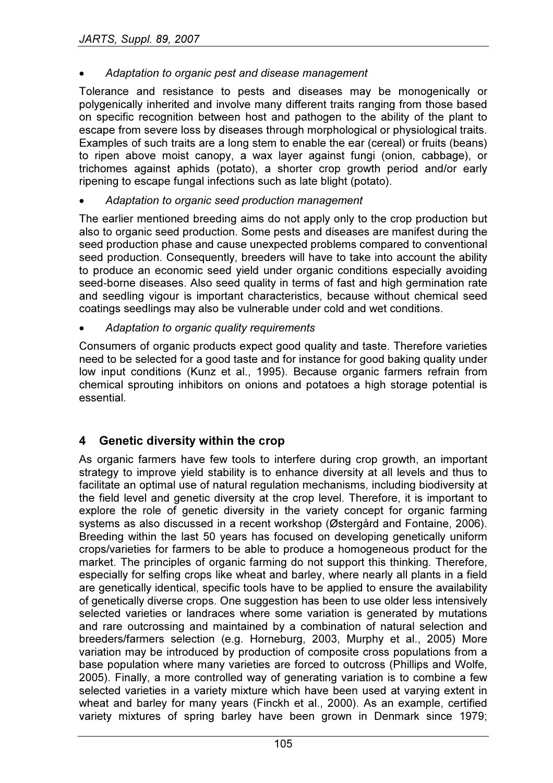• Adaptation to organic pest and disease management

Tolerance and resistance to pests and diseases may be monogenically or polygenically inherited and involve many different traits ranging from those based on specific recognition between host and pathogen to the ability of the plant to escape from severe loss by diseases through morphological or physiological traits. Examples of such traits are a long stem to enable the ear (cereal) or fruits (beans) to ripen above moist canopy, a wax layer against fungi (onion, cabbage), or trichomes against aphids (potato), a shorter crop growth period and/or early ripening to escape fungal infections such as late blight (potato).

#### Adaptation to organic seed production management

The earlier mentioned breeding aims do not apply only to the crop production but also to organic seed production. Some pests and diseases are manifest during the seed production phase and cause unexpected problems compared to conventional seed production. Consequently, breeders will have to take into account the ability to produce an economic seed yield under organic conditions especially avoiding seed-borne diseases. Also seed quality in terms of fast and high germination rate and seedling vigour is important characteristics, because without chemical seed coatings seedlings may also be vulnerable under cold and wet conditions.

#### Adaptation to organic quality requirements

Consumers of organic products expect good quality and taste. Therefore varieties need to be selected for a good taste and for instance for good baking quality under low input conditions (Kunz et al., 1995). Because organic farmers refrain from chemical sprouting inhibitors on onions and potatoes a high storage potential is essential.

#### 4 Genetic diversity within the crop

As organic farmers have few tools to interfere during crop growth, an important strategy to improve yield stability is to enhance diversity at all levels and thus to facilitate an optimal use of natural regulation mechanisms, including biodiversity at the field level and genetic diversity at the crop level. Therefore, it is important to explore the role of genetic diversity in the variety concept for organic farming systems as also discussed in a recent workshop (Østergård and Fontaine, 2006). Breeding within the last 50 years has focused on developing genetically uniform crops/varieties for farmers to be able to produce a homogeneous product for the market. The principles of organic farming do not support this thinking. Therefore, especially for selfing crops like wheat and barley, where nearly all plants in a field are genetically identical, specific tools have to be applied to ensure the availability of genetically diverse crops. One suggestion has been to use older less intensively selected varieties or landraces where some variation is generated by mutations and rare outcrossing and maintained by a combination of natural selection and breeders/farmers selection (e.g. Horneburg, 2003, Murphy et al., 2005) More variation may be introduced by production of composite cross populations from a base population where many varieties are forced to outcross (Phillips and Wolfe, 2005). Finally, a more controlled way of generating variation is to combine a few selected varieties in a variety mixture which have been used at varying extent in wheat and barley for many years (Finckh et al., 2000). As an example, certified variety mixtures of spring barley have been grown in Denmark since 1979;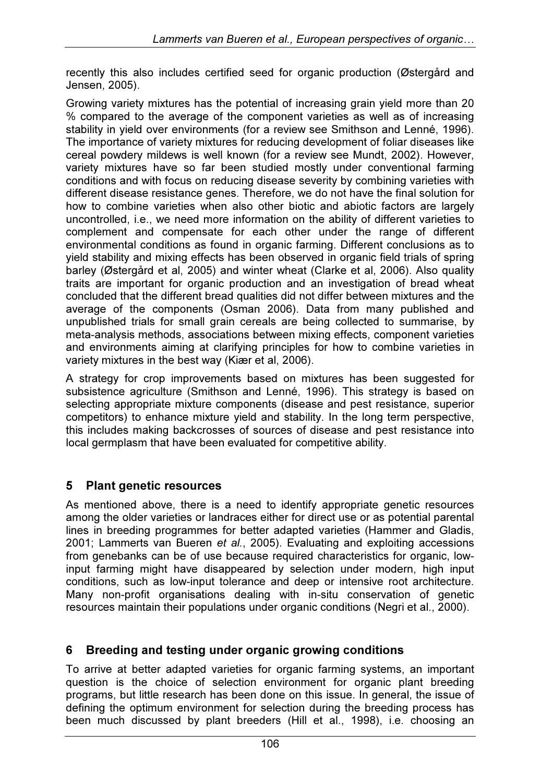recently this also includes certified seed for organic production (Østergård and Jensen, 2005).

Growing variety mixtures has the potential of increasing grain yield more than 20 % compared to the average of the component varieties as well as of increasing stability in yield over environments (for a review see Smithson and Lenné, 1996). The importance of variety mixtures for reducing development of foliar diseases like cereal powdery mildews is well known (for a review see Mundt, 2002). However, variety mixtures have so far been studied mostly under conventional farming conditions and with focus on reducing disease severity by combining varieties with different disease resistance genes. Therefore, we do not have the final solution for how to combine varieties when also other biotic and abiotic factors are largely uncontrolled, i.e., we need more information on the ability of different varieties to complement and compensate for each other under the range of different environmental conditions as found in organic farming. Different conclusions as to yield stability and mixing effects has been observed in organic field trials of spring barley (Østergård et al, 2005) and winter wheat (Clarke et al, 2006). Also quality traits are important for organic production and an investigation of bread wheat concluded that the different bread qualities did not differ between mixtures and the average of the components (Osman 2006). Data from many published and unpublished trials for small grain cereals are being collected to summarise, by meta-analysis methods, associations between mixing effects, component varieties and environments aiming at clarifying principles for how to combine varieties in variety mixtures in the best way (Kiær et al, 2006).

A strategy for crop improvements based on mixtures has been suggested for subsistence agriculture (Smithson and Lenné, 1996). This strategy is based on selecting appropriate mixture components (disease and pest resistance, superior competitors) to enhance mixture yield and stability. In the long term perspective, this includes making backcrosses of sources of disease and pest resistance into local germplasm that have been evaluated for competitive ability.

### 5 Plant genetic resources

As mentioned above, there is a need to identify appropriate genetic resources among the older varieties or landraces either for direct use or as potential parental lines in breeding programmes for better adapted varieties (Hammer and Gladis, 2001; Lammerts van Bueren et al., 2005). Evaluating and exploiting accessions from genebanks can be of use because required characteristics for organic, lowinput farming might have disappeared by selection under modern, high input conditions, such as low-input tolerance and deep or intensive root architecture. Many non-profit organisations dealing with in-situ conservation of genetic resources maintain their populations under organic conditions (Negri et al., 2000).

### 6 Breeding and testing under organic growing conditions

To arrive at better adapted varieties for organic farming systems, an important question is the choice of selection environment for organic plant breeding programs, but little research has been done on this issue. In general, the issue of defining the optimum environment for selection during the breeding process has been much discussed by plant breeders (Hill et al., 1998), i.e. choosing an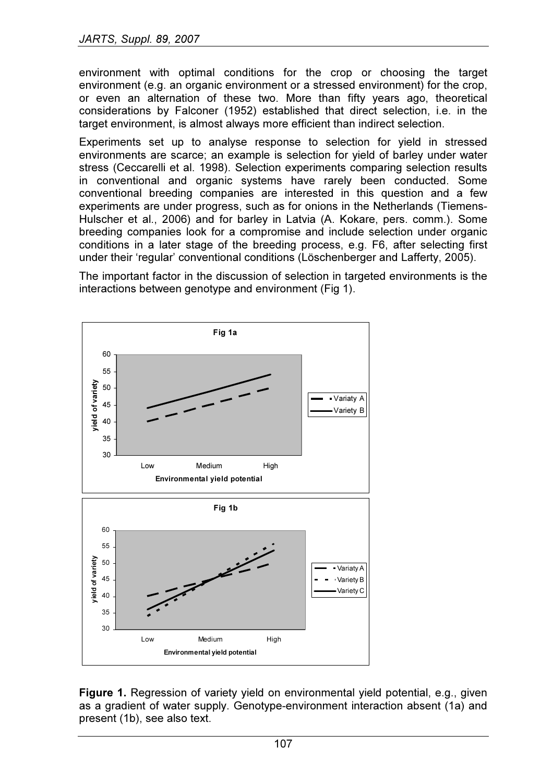environment with optimal conditions for the crop or choosing the target environment (e.g. an organic environment or a stressed environment) for the crop, or even an alternation of these two. More than fifty years ago, theoretical considerations by Falconer (1952) established that direct selection, i.e. in the target environment, is almost always more efficient than indirect selection.

Experiments set up to analyse response to selection for yield in stressed environments are scarce; an example is selection for yield of barley under water stress (Ceccarelli et al. 1998). Selection experiments comparing selection results in conventional and organic systems have rarely been conducted. Some conventional breeding companies are interested in this question and a few experiments are under progress, such as for onions in the Netherlands (Tiemens-Hulscher et al., 2006) and for barley in Latvia (A. Kokare, pers. comm.). Some breeding companies look for a compromise and include selection under organic conditions in a later stage of the breeding process, e.g. F6, after selecting first under their 'regular' conventional conditions (Löschenberger and Lafferty, 2005).

The important factor in the discussion of selection in targeted environments is the interactions between genotype and environment (Fig 1).



Figure 1. Regression of variety yield on environmental yield potential, e.g., given as a gradient of water supply. Genotype-environment interaction absent (1a) and present (1b), see also text.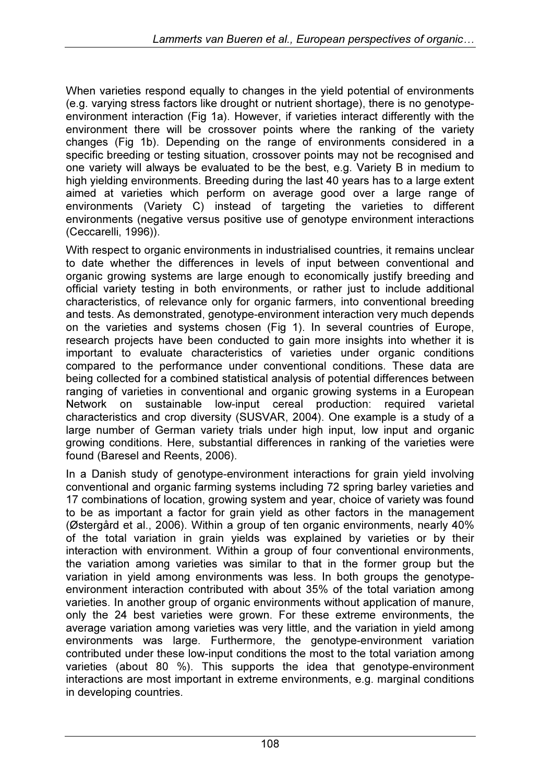When varieties respond equally to changes in the yield potential of environments (e.g. varying stress factors like drought or nutrient shortage), there is no genotypeenvironment interaction (Fig 1a). However, if varieties interact differently with the environment there will be crossover points where the ranking of the variety changes (Fig 1b). Depending on the range of environments considered in a specific breeding or testing situation, crossover points may not be recognised and one variety will always be evaluated to be the best, e.g. Variety B in medium to high yielding environments. Breeding during the last 40 years has to a large extent aimed at varieties which perform on average good over a large range of environments (Variety C) instead of targeting the varieties to different environments (negative versus positive use of genotype environment interactions (Ceccarelli, 1996)).

With respect to organic environments in industrialised countries, it remains unclear to date whether the differences in levels of input between conventional and organic growing systems are large enough to economically justify breeding and official variety testing in both environments, or rather just to include additional characteristics, of relevance only for organic farmers, into conventional breeding and tests. As demonstrated, genotype-environment interaction very much depends on the varieties and systems chosen (Fig 1). In several countries of Europe, research projects have been conducted to gain more insights into whether it is important to evaluate characteristics of varieties under organic conditions compared to the performance under conventional conditions. These data are being collected for a combined statistical analysis of potential differences between ranging of varieties in conventional and organic growing systems in a European Network on sustainable low-input cereal production: required varietal characteristics and crop diversity (SUSVAR, 2004). One example is a study of a large number of German variety trials under high input, low input and organic growing conditions. Here, substantial differences in ranking of the varieties were found (Baresel and Reents, 2006).

In a Danish study of genotype-environment interactions for grain yield involving conventional and organic farming systems including 72 spring barley varieties and 17 combinations of location, growing system and year, choice of variety was found to be as important a factor for grain yield as other factors in the management (Østergård et al., 2006). Within a group of ten organic environments, nearly 40% of the total variation in grain yields was explained by varieties or by their interaction with environment. Within a group of four conventional environments, the variation among varieties was similar to that in the former group but the variation in yield among environments was less. In both groups the genotypeenvironment interaction contributed with about 35% of the total variation among varieties. In another group of organic environments without application of manure, only the 24 best varieties were grown. For these extreme environments, the average variation among varieties was very little, and the variation in yield among environments was large. Furthermore, the genotype-environment variation contributed under these low-input conditions the most to the total variation among varieties (about 80 %). This supports the idea that genotype-environment interactions are most important in extreme environments, e.g. marginal conditions in developing countries.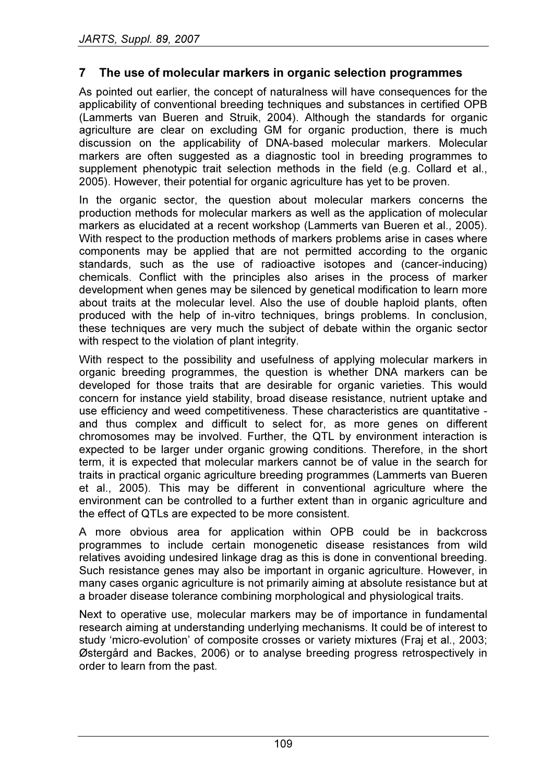### 7 The use of molecular markers in organic selection programmes

As pointed out earlier, the concept of naturalness will have consequences for the applicability of conventional breeding techniques and substances in certified OPB (Lammerts van Bueren and Struik, 2004). Although the standards for organic agriculture are clear on excluding GM for organic production, there is much discussion on the applicability of DNA-based molecular markers. Molecular markers are often suggested as a diagnostic tool in breeding programmes to supplement phenotypic trait selection methods in the field (e.g. Collard et al., 2005). However, their potential for organic agriculture has yet to be proven.

In the organic sector, the question about molecular markers concerns the production methods for molecular markers as well as the application of molecular markers as elucidated at a recent workshop (Lammerts van Bueren et al., 2005). With respect to the production methods of markers problems arise in cases where components may be applied that are not permitted according to the organic standards, such as the use of radioactive isotopes and (cancer-inducing) chemicals. Conflict with the principles also arises in the process of marker development when genes may be silenced by genetical modification to learn more about traits at the molecular level. Also the use of double haploid plants, often produced with the help of in-vitro techniques, brings problems. In conclusion, these techniques are very much the subject of debate within the organic sector with respect to the violation of plant integrity.

With respect to the possibility and usefulness of applying molecular markers in organic breeding programmes, the question is whether DNA markers can be developed for those traits that are desirable for organic varieties. This would concern for instance yield stability, broad disease resistance, nutrient uptake and use efficiency and weed competitiveness. These characteristics are quantitative and thus complex and difficult to select for, as more genes on different chromosomes may be involved. Further, the QTL by environment interaction is expected to be larger under organic growing conditions. Therefore, in the short term, it is expected that molecular markers cannot be of value in the search for traits in practical organic agriculture breeding programmes (Lammerts van Bueren et al., 2005). This may be different in conventional agriculture where the environment can be controlled to a further extent than in organic agriculture and the effect of QTLs are expected to be more consistent.

A more obvious area for application within OPB could be in backcross programmes to include certain monogenetic disease resistances from wild relatives avoiding undesired linkage drag as this is done in conventional breeding. Such resistance genes may also be important in organic agriculture. However, in many cases organic agriculture is not primarily aiming at absolute resistance but at a broader disease tolerance combining morphological and physiological traits.

Next to operative use, molecular markers may be of importance in fundamental research aiming at understanding underlying mechanisms. It could be of interest to study 'micro-evolution' of composite crosses or variety mixtures (Fraj et al., 2003; Østergård and Backes, 2006) or to analyse breeding progress retrospectively in order to learn from the past.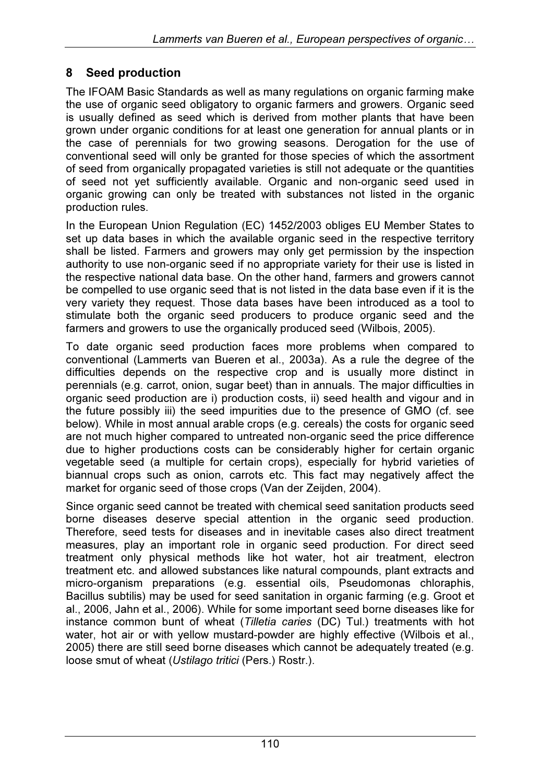# 8 Seed production

The IFOAM Basic Standards as well as many regulations on organic farming make the use of organic seed obligatory to organic farmers and growers. Organic seed is usually defined as seed which is derived from mother plants that have been grown under organic conditions for at least one generation for annual plants or in the case of perennials for two growing seasons. Derogation for the use of conventional seed will only be granted for those species of which the assortment of seed from organically propagated varieties is still not adequate or the quantities of seed not yet sufficiently available. Organic and non-organic seed used in organic growing can only be treated with substances not listed in the organic production rules.

In the European Union Regulation (EC) 1452/2003 obliges EU Member States to set up data bases in which the available organic seed in the respective territory shall be listed. Farmers and growers may only get permission by the inspection authority to use non-organic seed if no appropriate variety for their use is listed in the respective national data base. On the other hand, farmers and growers cannot be compelled to use organic seed that is not listed in the data base even if it is the very variety they request. Those data bases have been introduced as a tool to stimulate both the organic seed producers to produce organic seed and the farmers and growers to use the organically produced seed (Wilbois, 2005).

To date organic seed production faces more problems when compared to conventional (Lammerts van Bueren et al., 2003a). As a rule the degree of the difficulties depends on the respective crop and is usually more distinct in perennials (e.g. carrot, onion, sugar beet) than in annuals. The major difficulties in organic seed production are i) production costs, ii) seed health and vigour and in the future possibly iii) the seed impurities due to the presence of GMO (cf. see below). While in most annual arable crops (e.g. cereals) the costs for organic seed are not much higher compared to untreated non-organic seed the price difference due to higher productions costs can be considerably higher for certain organic vegetable seed (a multiple for certain crops), especially for hybrid varieties of biannual crops such as onion, carrots etc. This fact may negatively affect the market for organic seed of those crops (Van der Zeijden, 2004).

Since organic seed cannot be treated with chemical seed sanitation products seed borne diseases deserve special attention in the organic seed production. Therefore, seed tests for diseases and in inevitable cases also direct treatment measures, play an important role in organic seed production. For direct seed treatment only physical methods like hot water, hot air treatment, electron treatment etc. and allowed substances like natural compounds, plant extracts and micro-organism preparations (e.g. essential oils, Pseudomonas chloraphis, Bacillus subtilis) may be used for seed sanitation in organic farming (e.g. Groot et al., 2006, Jahn et al., 2006). While for some important seed borne diseases like for instance common bunt of wheat (Tilletia caries (DC) Tul.) treatments with hot water, hot air or with yellow mustard-powder are highly effective (Wilbois et al., 2005) there are still seed borne diseases which cannot be adequately treated (e.g. loose smut of wheat (Ustilago tritici (Pers.) Rostr.).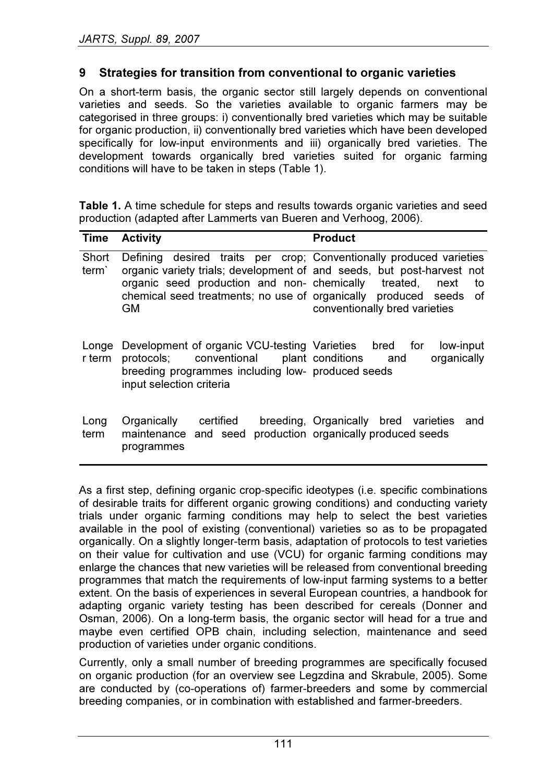### 9 Strategies for transition from conventional to organic varieties

On a short-term basis, the organic sector still largely depends on conventional varieties and seeds. So the varieties available to organic farmers may be categorised in three groups: i) conventionally bred varieties which may be suitable for organic production, ii) conventionally bred varieties which have been developed specifically for low-input environments and iii) organically bred varieties. The development towards organically bred varieties suited for organic farming conditions will have to be taken in steps (Table 1).

Table 1. A time schedule for steps and results towards organic varieties and seed production (adapted after Lammerts van Bueren and Verhoog, 2006).

| Time                       | <b>Activity</b>                                                                                                                                                                                                                                                                         | <b>Product</b>                                        |
|----------------------------|-----------------------------------------------------------------------------------------------------------------------------------------------------------------------------------------------------------------------------------------------------------------------------------------|-------------------------------------------------------|
| Short<br>term <sup>'</sup> | Defining desired traits per crop; Conventionally produced varieties<br>organic variety trials; development of and seeds, but post-harvest not<br>organic seed production and non- chemically treated,<br>chemical seed treatments; no use of organically produced seeds of<br><b>GM</b> | next<br>to<br>conventionally bred varieties           |
| Longe<br>r term            | Development of organic VCU-testing Varieties bred for<br>protocols; conventional plant conditions and<br>breeding programmes including low- produced seeds<br>input selection criteria                                                                                                  | low-input<br>organically                              |
| Long<br>term               | Organically<br>maintenance and seed production organically produced seeds<br>programmes                                                                                                                                                                                                 | certified breeding, Organically bred varieties<br>and |

As a first step, defining organic crop-specific ideotypes (i.e. specific combinations of desirable traits for different organic growing conditions) and conducting variety trials under organic farming conditions may help to select the best varieties available in the pool of existing (conventional) varieties so as to be propagated organically. On a slightly longer-term basis, adaptation of protocols to test varieties on their value for cultivation and use (VCU) for organic farming conditions may enlarge the chances that new varieties will be released from conventional breeding programmes that match the requirements of low-input farming systems to a better extent. On the basis of experiences in several European countries, a handbook for adapting organic variety testing has been described for cereals (Donner and Osman, 2006). On a long-term basis, the organic sector will head for a true and maybe even certified OPB chain, including selection, maintenance and seed production of varieties under organic conditions.

Currently, only a small number of breeding programmes are specifically focused on organic production (for an overview see Legzdina and Skrabule, 2005). Some are conducted by (co-operations of) farmer-breeders and some by commercial breeding companies, or in combination with established and farmer-breeders.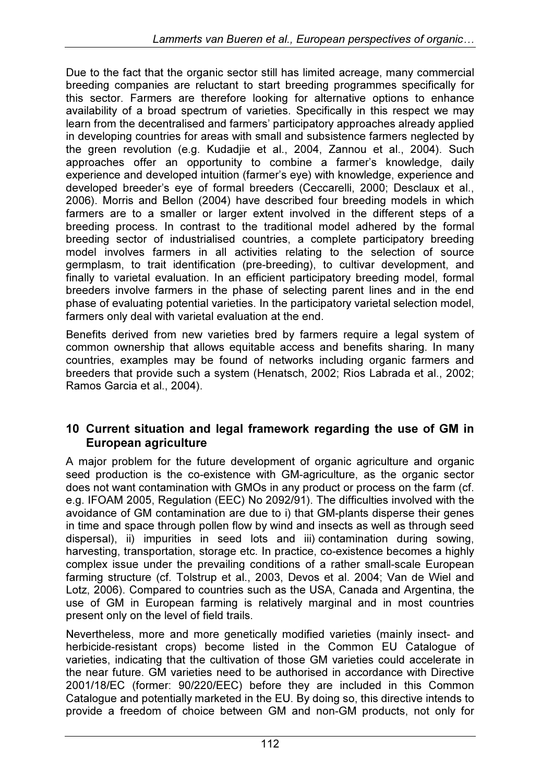Due to the fact that the organic sector still has limited acreage, many commercial breeding companies are reluctant to start breeding programmes specifically for this sector. Farmers are therefore looking for alternative options to enhance availability of a broad spectrum of varieties. Specifically in this respect we may learn from the decentralised and farmers' participatory approaches already applied in developing countries for areas with small and subsistence farmers neglected by the green revolution (e.g. Kudadjie et al., 2004, Zannou et al., 2004). Such approaches offer an opportunity to combine a farmer's knowledge, daily experience and developed intuition (farmer's eye) with knowledge, experience and developed breeder's eye of formal breeders (Ceccarelli, 2000; Desclaux et al., 2006). Morris and Bellon (2004) have described four breeding models in which farmers are to a smaller or larger extent involved in the different steps of a breeding process. In contrast to the traditional model adhered by the formal breeding sector of industrialised countries, a complete participatory breeding model involves farmers in all activities relating to the selection of source germplasm, to trait identification (pre-breeding), to cultivar development, and finally to varietal evaluation. In an efficient participatory breeding model, formal breeders involve farmers in the phase of selecting parent lines and in the end phase of evaluating potential varieties. In the participatory varietal selection model, farmers only deal with varietal evaluation at the end.

Benefits derived from new varieties bred by farmers require a legal system of common ownership that allows equitable access and benefits sharing. In many countries, examples may be found of networks including organic farmers and breeders that provide such a system (Henatsch, 2002; Rios Labrada et al., 2002; Ramos Garcia et al., 2004).

### 10 Current situation and legal framework regarding the use of GM in European agriculture

A major problem for the future development of organic agriculture and organic seed production is the co-existence with GM-agriculture, as the organic sector does not want contamination with GMOs in any product or process on the farm (cf. e.g. IFOAM 2005, Regulation (EEC) No 2092/91). The difficulties involved with the avoidance of GM contamination are due to i) that GM-plants disperse their genes in time and space through pollen flow by wind and insects as well as through seed dispersal), ii) impurities in seed lots and iii) contamination during sowing, harvesting, transportation, storage etc. In practice, co-existence becomes a highly complex issue under the prevailing conditions of a rather small-scale European farming structure (cf. Tolstrup et al., 2003, Devos et al. 2004; Van de Wiel and Lotz, 2006). Compared to countries such as the USA, Canada and Argentina, the use of GM in European farming is relatively marginal and in most countries present only on the level of field trails.

Nevertheless, more and more genetically modified varieties (mainly insect- and herbicide-resistant crops) become listed in the Common EU Catalogue of varieties, indicating that the cultivation of those GM varieties could accelerate in the near future. GM varieties need to be authorised in accordance with Directive 2001/18/EC (former: 90/220/EEC) before they are included in this Common Catalogue and potentially marketed in the EU. By doing so, this directive intends to provide a freedom of choice between GM and non-GM products, not only for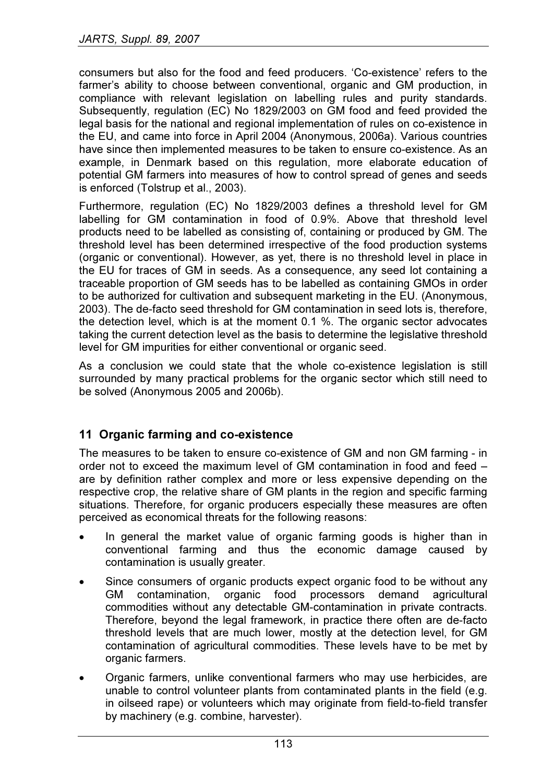consumers but also for the food and feed producers. 'Co-existence' refers to the farmer's ability to choose between conventional, organic and GM production, in compliance with relevant legislation on labelling rules and purity standards. Subsequently, regulation (EC) No 1829/2003 on GM food and feed provided the legal basis for the national and regional implementation of rules on co-existence in the EU, and came into force in April 2004 (Anonymous, 2006a). Various countries have since then implemented measures to be taken to ensure co-existence. As an example, in Denmark based on this regulation, more elaborate education of potential GM farmers into measures of how to control spread of genes and seeds is enforced (Tolstrup et al., 2003).

Furthermore, regulation (EC) No 1829/2003 defines a threshold level for GM labelling for GM contamination in food of 0.9%. Above that threshold level products need to be labelled as consisting of, containing or produced by GM. The threshold level has been determined irrespective of the food production systems (organic or conventional). However, as yet, there is no threshold level in place in the EU for traces of GM in seeds. As a consequence, any seed lot containing a traceable proportion of GM seeds has to be labelled as containing GMOs in order to be authorized for cultivation and subsequent marketing in the EU. (Anonymous, 2003). The de-facto seed threshold for GM contamination in seed lots is, therefore, the detection level, which is at the moment 0.1 %. The organic sector advocates taking the current detection level as the basis to determine the legislative threshold level for GM impurities for either conventional or organic seed.

As a conclusion we could state that the whole co-existence legislation is still surrounded by many practical problems for the organic sector which still need to be solved (Anonymous 2005 and 2006b).

### 11 Organic farming and co-existence

The measures to be taken to ensure co-existence of GM and non GM farming - in order not to exceed the maximum level of GM contamination in food and feed – are by definition rather complex and more or less expensive depending on the respective crop, the relative share of GM plants in the region and specific farming situations. Therefore, for organic producers especially these measures are often perceived as economical threats for the following reasons:

- In general the market value of organic farming goods is higher than in conventional farming and thus the economic damage caused by contamination is usually greater.
- Since consumers of organic products expect organic food to be without any GM contamination, organic food processors demand agricultural commodities without any detectable GM-contamination in private contracts. Therefore, beyond the legal framework, in practice there often are de-facto threshold levels that are much lower, mostly at the detection level, for GM contamination of agricultural commodities. These levels have to be met by organic farmers.
- Organic farmers, unlike conventional farmers who may use herbicides, are unable to control volunteer plants from contaminated plants in the field (e.g. in oilseed rape) or volunteers which may originate from field-to-field transfer by machinery (e.g. combine, harvester).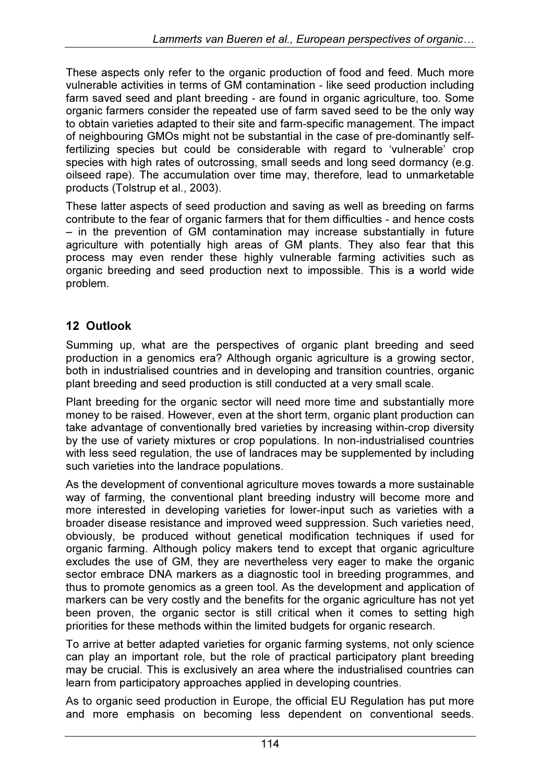These aspects only refer to the organic production of food and feed. Much more vulnerable activities in terms of GM contamination - like seed production including farm saved seed and plant breeding - are found in organic agriculture, too. Some organic farmers consider the repeated use of farm saved seed to be the only way to obtain varieties adapted to their site and farm-specific management. The impact of neighbouring GMOs might not be substantial in the case of pre-dominantly selffertilizing species but could be considerable with regard to 'vulnerable' crop species with high rates of outcrossing, small seeds and long seed dormancy (e.g. oilseed rape). The accumulation over time may, therefore, lead to unmarketable products (Tolstrup et al., 2003).

These latter aspects of seed production and saving as well as breeding on farms contribute to the fear of organic farmers that for them difficulties - and hence costs – in the prevention of GM contamination may increase substantially in future agriculture with potentially high areas of GM plants. They also fear that this process may even render these highly vulnerable farming activities such as organic breeding and seed production next to impossible. This is a world wide problem.

# 12 Outlook

Summing up, what are the perspectives of organic plant breeding and seed production in a genomics era? Although organic agriculture is a growing sector, both in industrialised countries and in developing and transition countries, organic plant breeding and seed production is still conducted at a very small scale.

Plant breeding for the organic sector will need more time and substantially more money to be raised. However, even at the short term, organic plant production can take advantage of conventionally bred varieties by increasing within-crop diversity by the use of variety mixtures or crop populations. In non-industrialised countries with less seed regulation, the use of landraces may be supplemented by including such varieties into the landrace populations.

As the development of conventional agriculture moves towards a more sustainable way of farming, the conventional plant breeding industry will become more and more interested in developing varieties for lower-input such as varieties with a broader disease resistance and improved weed suppression. Such varieties need, obviously, be produced without genetical modification techniques if used for organic farming. Although policy makers tend to except that organic agriculture excludes the use of GM, they are nevertheless very eager to make the organic sector embrace DNA markers as a diagnostic tool in breeding programmes, and thus to promote genomics as a green tool. As the development and application of markers can be very costly and the benefits for the organic agriculture has not yet been proven, the organic sector is still critical when it comes to setting high priorities for these methods within the limited budgets for organic research.

To arrive at better adapted varieties for organic farming systems, not only science can play an important role, but the role of practical participatory plant breeding may be crucial. This is exclusively an area where the industrialised countries can learn from participatory approaches applied in developing countries.

As to organic seed production in Europe, the official EU Regulation has put more and more emphasis on becoming less dependent on conventional seeds.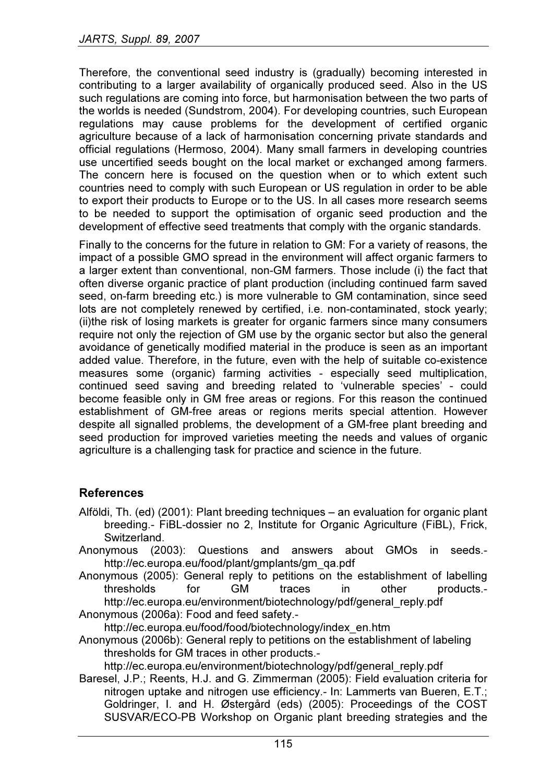Therefore, the conventional seed industry is (gradually) becoming interested in contributing to a larger availability of organically produced seed. Also in the US such regulations are coming into force, but harmonisation between the two parts of the worlds is needed (Sundstrom, 2004). For developing countries, such European regulations may cause problems for the development of certified organic agriculture because of a lack of harmonisation concerning private standards and official regulations (Hermoso, 2004). Many small farmers in developing countries use uncertified seeds bought on the local market or exchanged among farmers. The concern here is focused on the question when or to which extent such countries need to comply with such European or US regulation in order to be able to export their products to Europe or to the US. In all cases more research seems to be needed to support the optimisation of organic seed production and the development of effective seed treatments that comply with the organic standards.

Finally to the concerns for the future in relation to GM: For a variety of reasons, the impact of a possible GMO spread in the environment will affect organic farmers to a larger extent than conventional, non-GM farmers. Those include (i) the fact that often diverse organic practice of plant production (including continued farm saved seed, on-farm breeding etc.) is more vulnerable to GM contamination, since seed lots are not completely renewed by certified, i.e. non-contaminated, stock yearly; (ii)the risk of losing markets is greater for organic farmers since many consumers require not only the rejection of GM use by the organic sector but also the general avoidance of genetically modified material in the produce is seen as an important added value. Therefore, in the future, even with the help of suitable co-existence measures some (organic) farming activities - especially seed multiplication, continued seed saving and breeding related to 'vulnerable species' - could become feasible only in GM free areas or regions. For this reason the continued establishment of GM-free areas or regions merits special attention. However despite all signalled problems, the development of a GM-free plant breeding and seed production for improved varieties meeting the needs and values of organic agriculture is a challenging task for practice and science in the future.

### **References**

- Alföldi, Th. (ed) (2001): Plant breeding techniques an evaluation for organic plant breeding.- FiBL-dossier no 2, Institute for Organic Agriculture (FiBL), Frick, Switzerland.
- Anonymous (2003): Questions and answers about GMOs in seeds. http://ec.europa.eu/food/plant/gmplants/gm\_qa.pdf
- Anonymous (2005): General reply to petitions on the establishment of labelling thresholds for GM traces in other products. http://ec.europa.eu/environment/biotechnology/pdf/general\_reply.pdf

Anonymous (2006a): Food and feed safety.-

http://ec.europa.eu/food/food/biotechnology/index\_en.htm

Anonymous (2006b): General reply to petitions on the establishment of labeling thresholds for GM traces in other products.-

http://ec.europa.eu/environment/biotechnology/pdf/general\_reply.pdf

Baresel, J.P.; Reents, H.J. and G. Zimmerman (2005): Field evaluation criteria for nitrogen uptake and nitrogen use efficiency.- In: Lammerts van Bueren, E.T.; Goldringer, I. and H. Østergård (eds) (2005): Proceedings of the COST SUSVAR/ECO-PB Workshop on Organic plant breeding strategies and the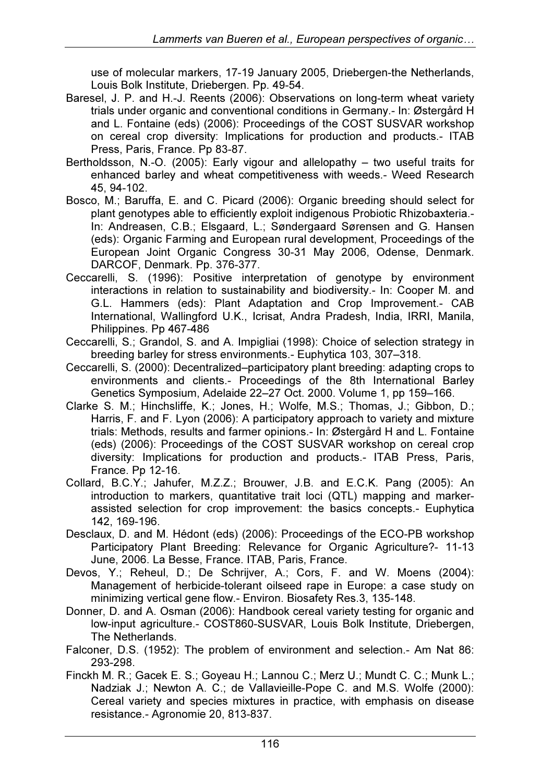use of molecular markers, 17-19 January 2005, Driebergen-the Netherlands, Louis Bolk Institute, Driebergen. Pp. 49-54.

- Baresel, J. P. and H.-J. Reents (2006): Observations on long-term wheat variety trials under organic and conventional conditions in Germany.- In: Østergård H and L. Fontaine (eds) (2006): Proceedings of the COST SUSVAR workshop on cereal crop diversity: Implications for production and products.- ITAB Press, Paris, France. Pp 83-87.
- Bertholdsson, N.-O. (2005): Early vigour and allelopathy two useful traits for enhanced barley and wheat competitiveness with weeds.- Weed Research 45, 94-102.
- Bosco, M.; Baruffa, E. and C. Picard (2006): Organic breeding should select for plant genotypes able to efficiently exploit indigenous Probiotic Rhizobaxteria.- In: Andreasen, C.B.; Elsgaard, L.; Søndergaard Sørensen and G. Hansen (eds): Organic Farming and European rural development, Proceedings of the European Joint Organic Congress 30-31 May 2006, Odense, Denmark. DARCOF, Denmark. Pp. 376-377.
- Ceccarelli, S. (1996): Positive interpretation of genotype by environment interactions in relation to sustainability and biodiversity.- In: Cooper M. and G.L. Hammers (eds): Plant Adaptation and Crop Improvement.- CAB International, Wallingford U.K., Icrisat, Andra Pradesh, India, IRRI, Manila, Philippines. Pp 467-486
- Ceccarelli, S.; Grandol, S. and A. Impigliai (1998): Choice of selection strategy in breeding barley for stress environments.- Euphytica 103, 307–318.
- Ceccarelli, S. (2000): Decentralized–participatory plant breeding: adapting crops to environments and clients.- Proceedings of the 8th International Barley Genetics Symposium, Adelaide 22–27 Oct. 2000. Volume 1, pp 159–166.
- Clarke S. M.; Hinchsliffe, K.; Jones, H.; Wolfe, M.S.; Thomas, J.; Gibbon, D.; Harris, F. and F. Lyon (2006): A participatory approach to variety and mixture trials: Methods, results and farmer opinions.- In: Østergård H and L. Fontaine (eds) (2006): Proceedings of the COST SUSVAR workshop on cereal crop diversity: Implications for production and products.- ITAB Press, Paris, France. Pp 12-16.
- Collard, B.C.Y.; Jahufer, M.Z.Z.; Brouwer, J.B. and E.C.K. Pang (2005): An introduction to markers, quantitative trait loci (QTL) mapping and markerassisted selection for crop improvement: the basics concepts.- Euphytica 142, 169-196.
- Desclaux, D. and M. Hédont (eds) (2006): Proceedings of the ECO-PB workshop Participatory Plant Breeding: Relevance for Organic Agriculture?- 11-13 June, 2006. La Besse, France. ITAB, Paris, France.
- Devos, Y.; Reheul, D.; De Schrijver, A.; Cors, F. and W. Moens (2004): Management of herbicide-tolerant oilseed rape in Europe: a case study on minimizing vertical gene flow.- Environ. Biosafety Res.3, 135-148.
- Donner, D. and A. Osman (2006): Handbook cereal variety testing for organic and low-input agriculture.- COST860-SUSVAR, Louis Bolk Institute, Driebergen, The Netherlands.
- Falconer, D.S. (1952): The problem of environment and selection.- Am Nat 86: 293-298.
- Finckh M. R.; Gacek E. S.; Goyeau H.; Lannou C.; Merz U.; Mundt C. C.; Munk L.; Nadziak J.; Newton A. C.; de Vallavieille-Pope C. and M.S. Wolfe (2000): Cereal variety and species mixtures in practice, with emphasis on disease resistance.- Agronomie 20, 813-837.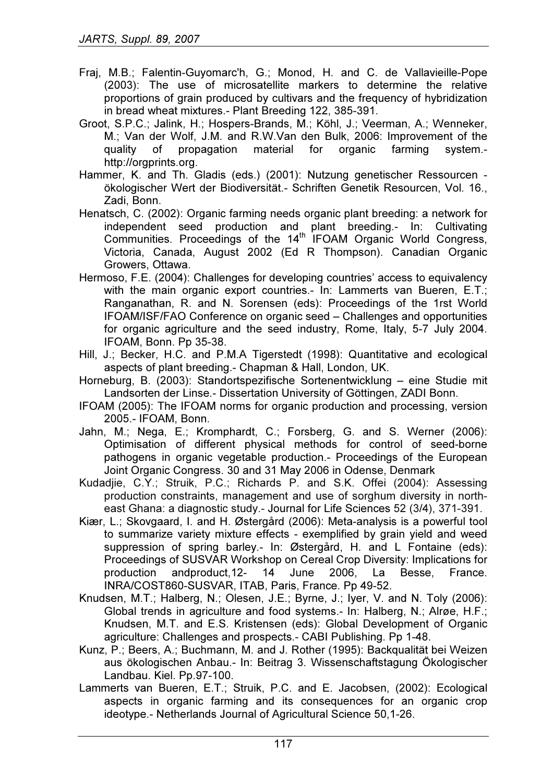- Fraj, M.B.; Falentin-Guyomarc'h, G.; Monod, H. and C. de Vallavieille-Pope (2003): The use of microsatellite markers to determine the relative proportions of grain produced by cultivars and the frequency of hybridization in bread wheat mixtures.- Plant Breeding 122, 385-391.
- Groot, S.P.C.; Jalink, H.; Hospers-Brands, M.; Köhl, J.; Veerman, A.; Wenneker, M.; Van der Wolf, J.M. and R.W.Van den Bulk, 2006: Improvement of the quality of propagation material for organic farming system. http://orgprints.org.
- Hammer, K. and Th. Gladis (eds.) (2001): Nutzung genetischer Ressourcen ökologischer Wert der Biodiversität.- Schriften Genetik Resourcen, Vol. 16., Zadi, Bonn.
- Henatsch, C. (2002): Organic farming needs organic plant breeding: a network for independent seed production and plant breeding.- In: Cultivating Communities. Proceedings of the 14<sup>th</sup> IFOAM Organic World Congress, Victoria, Canada, August 2002 (Ed R Thompson). Canadian Organic Growers, Ottawa.
- Hermoso, F.E. (2004): Challenges for developing countries' access to equivalency with the main organic export countries.- In: Lammerts van Bueren, E.T.; Ranganathan, R. and N. Sorensen (eds): Proceedings of the 1rst World IFOAM/ISF/FAO Conference on organic seed – Challenges and opportunities for organic agriculture and the seed industry, Rome, Italy, 5-7 July 2004. IFOAM, Bonn. Pp 35-38.
- Hill, J.; Becker, H.C. and P.M.A Tigerstedt (1998): Quantitative and ecological aspects of plant breeding.- Chapman & Hall, London, UK.
- Horneburg, B. (2003): Standortspezifische Sortenentwicklung eine Studie mit Landsorten der Linse.- Dissertation University of Göttingen, ZADI Bonn.
- IFOAM (2005): The IFOAM norms for organic production and processing, version 2005.- IFOAM, Bonn.
- Jahn, M.; Nega, E.; Kromphardt, C.; Forsberg, G. and S. Werner (2006): Optimisation of different physical methods for control of seed-borne pathogens in organic vegetable production.- Proceedings of the European Joint Organic Congress. 30 and 31 May 2006 in Odense, Denmark
- Kudadjie, C.Y.; Struik, P.C.; Richards P. and S.K. Offei (2004): Assessing production constraints, management and use of sorghum diversity in northeast Ghana: a diagnostic study.- Journal for Life Sciences 52 (3/4), 371-391.
- Kiær, L.; Skovgaard, I. and H. Østergård (2006): Meta-analysis is a powerful tool to summarize variety mixture effects - exemplified by grain yield and weed suppression of spring barley.- In: Østergård, H. and L Fontaine (eds): Proceedings of SUSVAR Workshop on Cereal Crop Diversity: Implications for production andproduct,12- 14 June 2006, La Besse, France. INRA/COST860-SUSVAR, ITAB, Paris, France. Pp 49-52.
- Knudsen, M.T.; Halberg, N.; Olesen, J.E.; Byrne, J.; Iyer, V. and N. Toly (2006): Global trends in agriculture and food systems.- In: Halberg, N.; Alrøe, H.F.; Knudsen, M.T. and E.S. Kristensen (eds): Global Development of Organic agriculture: Challenges and prospects.- CABI Publishing. Pp 1-48.
- Kunz, P.; Beers, A.; Buchmann, M. and J. Rother (1995): Backqualität bei Weizen aus ökologischen Anbau.- In: Beitrag 3. Wissenschaftstagung Ökologischer Landbau. Kiel. Pp.97-100.
- Lammerts van Bueren, E.T.; Struik, P.C. and E. Jacobsen, (2002): Ecological aspects in organic farming and its consequences for an organic crop ideotype.- Netherlands Journal of Agricultural Science 50,1-26.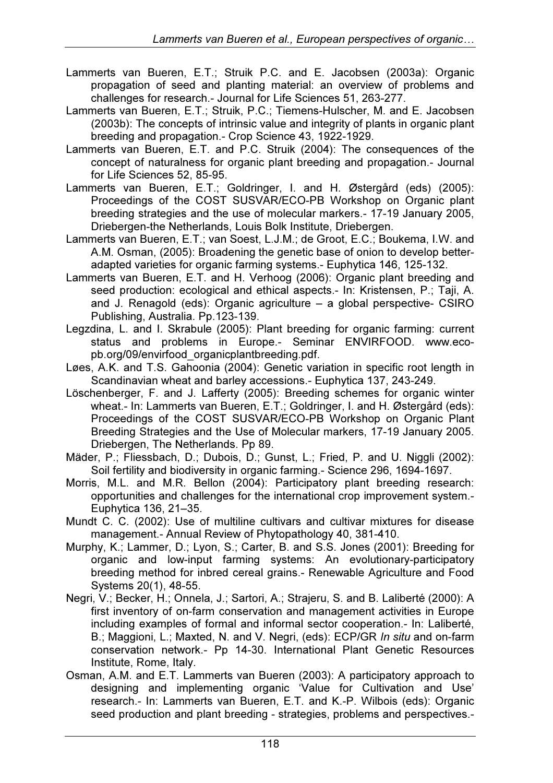- Lammerts van Bueren, E.T.; Struik P.C. and E. Jacobsen (2003a): Organic propagation of seed and planting material: an overview of problems and challenges for research.- Journal for Life Sciences 51, 263-277.
- Lammerts van Bueren, E.T.; Struik, P.C.; Tiemens-Hulscher, M. and E. Jacobsen (2003b): The concepts of intrinsic value and integrity of plants in organic plant breeding and propagation.- Crop Science 43, 1922-1929.
- Lammerts van Bueren, E.T. and P.C. Struik (2004): The consequences of the concept of naturalness for organic plant breeding and propagation.- Journal for Life Sciences 52, 85-95.
- Lammerts van Bueren, E.T.; Goldringer, I. and H. Østergård (eds) (2005): Proceedings of the COST SUSVAR/ECO-PB Workshop on Organic plant breeding strategies and the use of molecular markers.- 17-19 January 2005, Driebergen-the Netherlands, Louis Bolk Institute, Driebergen.
- Lammerts van Bueren, E.T.; van Soest, L.J.M.; de Groot, E.C.; Boukema, I.W. and A.M. Osman, (2005): Broadening the genetic base of onion to develop betteradapted varieties for organic farming systems.- Euphytica 146, 125-132.
- Lammerts van Bueren, E.T. and H. Verhoog (2006): Organic plant breeding and seed production: ecological and ethical aspects.- In: Kristensen, P.; Taji, A. and J. Renagold (eds): Organic agriculture – a global perspective- CSIRO Publishing, Australia. Pp.123-139.
- Legzdina, L. and I. Skrabule (2005): Plant breeding for organic farming: current status and problems in Europe.- Seminar ENVIRFOOD. www.ecopb.org/09/envirfood\_organicplantbreeding.pdf.
- Løes, A.K. and T.S. Gahoonia (2004): Genetic variation in specific root length in Scandinavian wheat and barley accessions.- Euphytica 137, 243-249.
- Löschenberger, F. and J. Lafferty (2005): Breeding schemes for organic winter wheat.- In: Lammerts van Bueren, E.T.; Goldringer, I. and H. Østergård (eds): Proceedings of the COST SUSVAR/ECO-PB Workshop on Organic Plant Breeding Strategies and the Use of Molecular markers, 17-19 January 2005. Driebergen, The Netherlands. Pp 89.
- Mäder, P.; Fliessbach, D.; Dubois, D.; Gunst, L.; Fried, P. and U. Niggli (2002): Soil fertility and biodiversity in organic farming.- Science 296, 1694-1697.
- Morris, M.L. and M.R. Bellon (2004): Participatory plant breeding research: opportunities and challenges for the international crop improvement system.- Euphytica 136, 21–35.
- Mundt C. C. (2002): Use of multiline cultivars and cultivar mixtures for disease management.- Annual Review of Phytopathology 40, 381-410.
- Murphy, K.; Lammer, D.; Lyon, S.; Carter, B. and S.S. Jones (2001): Breeding for organic and low-input farming systems: An evolutionary-participatory breeding method for inbred cereal grains.- Renewable Agriculture and Food Systems 20(1), 48-55.
- Negri, V.; Becker, H.; Onnela, J.; Sartori, A.; Strajeru, S. and B. Laliberté (2000): A first inventory of on-farm conservation and management activities in Europe including examples of formal and informal sector cooperation.- In: Laliberté, B.; Maggioni, L.; Maxted, N. and V. Negri, (eds): ECP/GR In situ and on-farm conservation network.- Pp 14-30. International Plant Genetic Resources Institute, Rome, Italy.
- Osman, A.M. and E.T. Lammerts van Bueren (2003): A participatory approach to designing and implementing organic 'Value for Cultivation and Use' research.- In: Lammerts van Bueren, E.T. and K.-P. Wilbois (eds): Organic seed production and plant breeding - strategies, problems and perspectives.-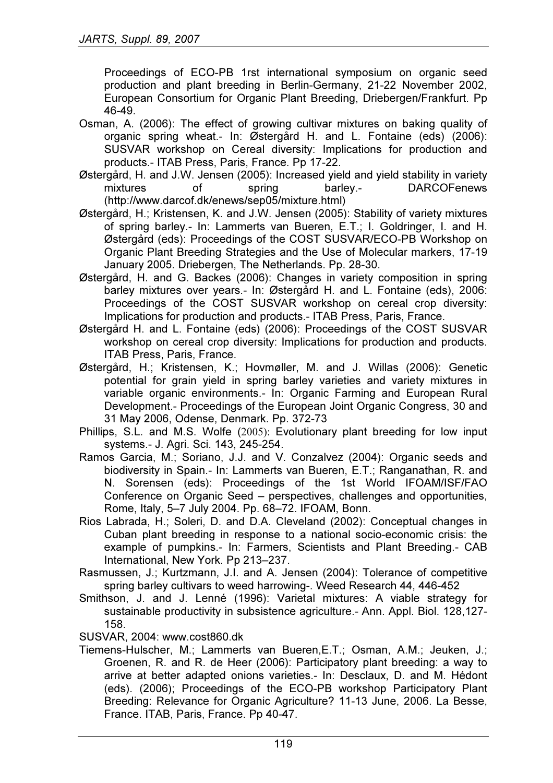Proceedings of ECO-PB 1rst international symposium on organic seed production and plant breeding in Berlin-Germany, 21-22 November 2002, European Consortium for Organic Plant Breeding, Driebergen/Frankfurt. Pp 46-49.

- Osman, A. (2006): The effect of growing cultivar mixtures on baking quality of organic spring wheat.- In: Østergård H. and L. Fontaine (eds) (2006): SUSVAR workshop on Cereal diversity: Implications for production and products.- ITAB Press, Paris, France. Pp 17-22.
- Østergård, H. and J.W. Jensen (2005): Increased yield and yield stability in variety mixtures of spring barley.- DARCOFenews (http://www.darcof.dk/enews/sep05/mixture.html)
- Østergård, H.; Kristensen, K. and J.W. Jensen (2005): Stability of variety mixtures of spring barley.- In: Lammerts van Bueren, E.T.; I. Goldringer, I. and H. Østergård (eds): Proceedings of the COST SUSVAR/ECO-PB Workshop on Organic Plant Breeding Strategies and the Use of Molecular markers, 17-19 January 2005. Driebergen, The Netherlands. Pp. 28-30.
- Østergård, H. and G. Backes (2006): Changes in variety composition in spring barley mixtures over years.- In: Østergård H. and L. Fontaine (eds), 2006: Proceedings of the COST SUSVAR workshop on cereal crop diversity: Implications for production and products.- ITAB Press, Paris, France.
- Østergård H. and L. Fontaine (eds) (2006): Proceedings of the COST SUSVAR workshop on cereal crop diversity: Implications for production and products. ITAB Press, Paris, France.
- Østergård, H.; Kristensen, K.; Hovmøller, M. and J. Willas (2006): Genetic potential for grain yield in spring barley varieties and variety mixtures in variable organic environments.- In: Organic Farming and European Rural Development.- Proceedings of the European Joint Organic Congress, 30 and 31 May 2006, Odense, Denmark. Pp. 372-73
- Phillips, S.L. and M.S. Wolfe (2005): Evolutionary plant breeding for low input systems.- J. Agri. Sci. 143, 245-254.
- Ramos Garcia, M.; Soriano, J.J. and V. Conzalvez (2004): Organic seeds and biodiversity in Spain.- In: Lammerts van Bueren, E.T.; Ranganathan, R. and N. Sorensen (eds): Proceedings of the 1st World IFOAM/ISF/FAO Conference on Organic Seed – perspectives, challenges and opportunities, Rome, Italy, 5–7 July 2004. Pp. 68–72. IFOAM, Bonn.
- Rios Labrada, H.; Soleri, D. and D.A. Cleveland (2002): Conceptual changes in Cuban plant breeding in response to a national socio-economic crisis: the example of pumpkins.- In: Farmers, Scientists and Plant Breeding.- CAB International, New York. Pp 213–237.
- Rasmussen, J.; Kurtzmann, J.I. and A. Jensen (2004): Tolerance of competitive spring barley cultivars to weed harrowing-. Weed Research 44, 446-452
- Smithson, J. and J. Lenné (1996): Varietal mixtures: A viable strategy for sustainable productivity in subsistence agriculture.- Ann. Appl. Biol. 128,127- 158.
- SUSVAR, 2004: www.cost860.dk
- Tiemens-Hulscher, M.; Lammerts van Bueren,E.T.; Osman, A.M.; Jeuken, J.; Groenen, R. and R. de Heer (2006): Participatory plant breeding: a way to arrive at better adapted onions varieties.- In: Desclaux, D. and M. Hédont (eds). (2006); Proceedings of the ECO-PB workshop Participatory Plant Breeding: Relevance for Organic Agriculture? 11-13 June, 2006. La Besse, France. ITAB, Paris, France. Pp 40-47.